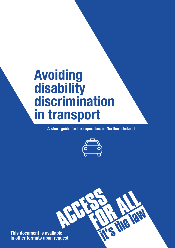# **Avoiding disability discrimination in transport**

**A short guide for taxi operators in Northern Ireland**



RN

**This document is available in other formats upon request**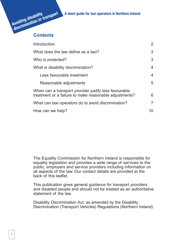# **Avoiding disability discrimination in transport A short guide for taxi operators in Northern Ireland**



| Introduction                                                                                                    | 2              |
|-----------------------------------------------------------------------------------------------------------------|----------------|
| What does the law define as a taxi?                                                                             |                |
| Who is protected?                                                                                               | 3              |
| What is disability discrimination?                                                                              | 4              |
| Less favourable treatment                                                                                       | $\overline{4}$ |
| Reasonable adjustments                                                                                          | 5              |
| When can a transport provider justify less favourable<br>treatment or a failure to make reasonable adjustments? |                |
| What can taxi operators do to avoid discrimination?                                                             | $\overline{7}$ |
| How can we help?                                                                                                | 10             |

The Equality Commission for Northern Ireland is responsible for equality legislation and provides a wide range of services to the public, employers and service providers including information on all aspects of the law. Our contact details are provided at the back of this leaflet.

This publication gives general guidance for transport providers and disabled people and should not be treated as an authoritative statement of the law.

Disability Discrimination Act, as amended by the Disability Discrimination (Transport Vehicles) Regulations (Northern Ireland).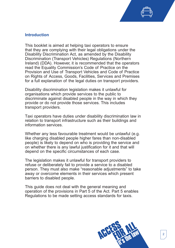

#### **Introduction**

This booklet is aimed at helping taxi operators to ensure that they are complying with their legal obligations under the Disability Discrimination Act, as amended by the Disability Discrimination (Transport Vehicles) Regulations (Northern Ireland) (DDA). However, it is recommended that the operators read the Equality Commission's Code of Practice on the Provision and Use of Transport Vehicles and Code of Practice on Rights of Access, Goods, Facilities, Services and Premises for a full explanation of the legal duties on transport providers.

Disability discrimination legislation makes it unlawful for organisations which provide services to the public to discriminate against disabled people in the way in which they provide or do not provide those services. This includes transport providers.

Taxi operators have duties under disability discrimination law in relation to transport infrastructure such as their buildings and information services.

Whether any less favourable treatment would be unlawful (e.g. like charging disabled people higher fares than non-disabled people) is likely to depend on who is providing the service and on whether there is any lawful justification for it and that will depend on the specific circumstances of each case.

The legislation makes it unlawful for transport providers to refuse or deliberately fail to provide a service to a disabled person. They must also make "reasonable adjustments" to take away or overcome elements in their services which present barriers to disabled people.

This guide does not deal with the general meaning and operation of the provisions in Part 5 of the Act. Part 5 enables Regulations to be made setting access standards for taxis.

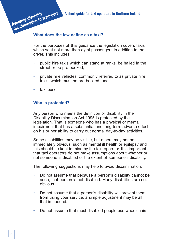**discrimination in transport A short guide for taxi operators in Northern Ireland**

#### **What does the law define as a taxi?**

For the purposes of this guidance the legislation covers taxis which seat not more than eight passengers in addition to the driver. This includes:

- public hire taxis which can stand at ranks, be hailed in the street or be pre-booked;
- private hire vehicles, commonly referred to as private hire taxis, which must be pre-booked; and
- taxi buses.

**Avoiding disability**

#### **Who is protected?**

Any person who meets the definition of disability in the Disability Discrimination Act 1995 is protected by the legislation. That is someone who has a physical or mental impairment that has a substantial and long-term adverse effect on his or her ability to carry out normal day-to-day activities.

Some disabilities may be visible, but others may not be immediately obvious, such as mental ill health or epilepsy and this should be kept in mind by the taxi operator. It is important that taxi operators do not make assumptions about whether or not someone is disabled or the extent of someone's disability.

The following suggestions may help to avoid discrimination:

- Do not assume that because a person's disability cannot be seen, that person is not disabled. Many disabilities are not obvious.
- Do not assume that a person's disability will prevent them from using your service, a simple adjustment may be all that is needed.
- Do not assume that most disabled people use wheelchairs.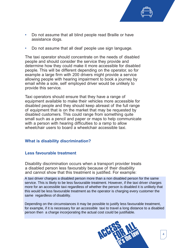- Do not assume that all blind people read Braille or have assistance dogs.
- Do not assume that all deaf people use sign language.

The taxi operator should concentrate on the needs of disabled people and should consider the service they provide and determine how they could make it more accessible for disabled people. This will be different depending on the operator, so for example a large firm with 200 drivers might provide a service allowing people with hearing impairment to book a journey by email while a sole, self employed driver would be unlikely to provide this service.

Taxi operators should ensure that they have a range of equipment available to make their vehicles more accessible for disabled people and they should keep abreast of the full range of equipment that is on the market that may be requested by disabled customers. This could range from something quite small such as a pencil and paper or maps to help communicate with a person with hearing difficulties to a ramp to allow wheelchair users to board a wheelchair accessible taxi.

# **What is disability discrimination?**

# **Less favourable treatment**

Disability discrimination occurs when a transport provider treats a disabled person less favourably because of their disability and cannot show that this treatment is justified. For example:

A taxi driver charges a disabled person more than a non disabled person for the same service. This is likely to be less favourable treatment. However, if the taxi driver charges more for an accessible taxi regardless of whether the person is disabled it is unlikely that this would be less favourable treatment as the operator is charging every customer the same regardless of disability.

Depending on the circumstances it may be possible to justify less favourable treatment, for example, if it is necessary for an accessible taxi to travel a long distance to a disabled person then a charge incorporating the actual cost could be justifiable.

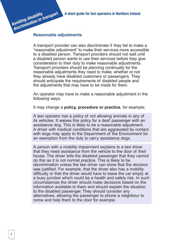#### **Reasonable adjustments**

**Avoiding disability**

**discrimination in transport** 

A transport provider can also discriminate if they fail to make a "reasonable adjustment" to make their services more accessible to a disabled person. Transport providers should not wait until a disabled person wants to use their services before they give consideration to their duty to make reasonable adjustments. Transport providers should be planning continually for the reasonable adjustments they need to make, whether or not they already have disabled customers or passengers. They should anticipate the requirements of disabled people and the adjustments that may have to be made for them.

An operator may have to make a reasonable adjustment in the following ways:

It may change a **policy, procedure or practice**, for example:

A taxi operator has a policy of not allowing animals in any of its vehicles. It waives this policy for a deaf passenger with an assistance dog. This is likely to be a reasonable adjustment. A driver with medical conditions that are aggravated by contact with dogs may apply to the Department of the Environment for an exemption from the duty to carry assistance dogs.

A person with a mobility impairment explains to a taxi driver that they need assistance from the vehicle to the door of their house. The driver tells the disabled passenger that they cannot do this as it is not normal practice. This is likely to be discrimination unless the taxi driver can show that the decision was justified. For example, that the driver also has a mobility difficulty or that the driver would have to leave the car empty at a busy junction which could be a health and safety risk. In such circumstances the driver should make decisions based on the information available to them and should explain the situation to the disabled passenger. They should consider any alternatives, allowing the passenger to phone a neighbour to come and help them to the door for example.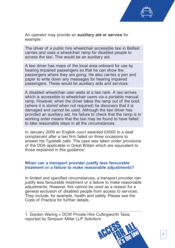

An operator may provide an **auxiliary aid or service** for example:

The driver of a public hire wheelchair accessible taxi in Belfast carries and uses a wheelchair ramp for disabled people to access the taxi. This would be an auxiliary aid.

A taxi driver has maps of the local area onboard for use by hearing impaired passengers so that he can show the passengers where they are going. He also carries a pen and paper to write down any messages for hearing impaired passengers. These would be auxiliary aids and services.

A disabled wheelchair user waits at a taxi rank. A taxi arrives which is accessible to wheelchair users via a portable manual ramp. However, when the driver takes the ramp out of the boot (where it is stored when not required) he discovers that it is damaged and cannot be used. Although the taxi driver has provided an auxiliary aid, his failure to check that the ramp is in working order means that the taxi may be found to have failed to take reasonable steps in all the circumstances.

In January 2009 an English court awarded £4500 to a deaf complainant after a taxi firm failed on three occasions to answer his Typetalk calls. The case was taken under provisions of the DDA applicable in Great Britain which are equivalent to those explained in this guidance<sup>1</sup>.

#### **When can a transport provider justify less favourable treatment or a failure to make reasonable adjustments?**

In limited and specified circumstances, a transport provider can justify less favourable treatment or a failure to make reasonable adjustments. However, this cannot be used as a reason for a general exclusion of disabled people from access to services. They include, for example, health and safety. Please see the Code of Practice for further details.

1. Gordon Waring v DCW Private Hire Cullingworth Taxis, reported by Simpson Millar LLP Solicitors

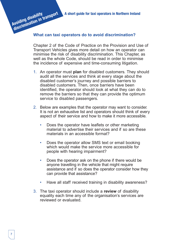**A short guide for taxi operators in Northern Ireland**



Chapter 2 of the Code of Practice on the Provision and Use of Transport Vehicles gives more detail on how an operator can minimise the risk of disability discrimination. This Chapter, as well as the whole Code, should be read in order to minimise the incidence of expensive and time-consuming litigation.

- 1. An operator must **plan** for disabled customers. They should audit all the services and think at every stage about the disabled customer's journey and possible barriers to disabled customers. Then, once barriers have been identified, the operator should look at what they can do to remove the barriers so that they can provide the optimum service to disabled passengers.
- 2. Below are examples that the operator may want to consider. It is not an exhaustive list and operators should think of every aspect of their service and how to make it more accessible.
	- Does the operator have leaflets or other marketing material to advertise their services and if so are these materials in an accessible format?
	- Does the operator allow SMS text or email booking which would make the service more accessible for people with hearing impairment?
	- Does the operator ask on the phone if there would be anyone travelling in the vehicle that might require assistance and if so does the operator consider how they can provide that assistance?
	- Have all staff received training in disability awareness?
- 3. The taxi operator should include a **review** of disability equality each time any of the organisation's services are reviewed or evaluated.

**Avoiding disability**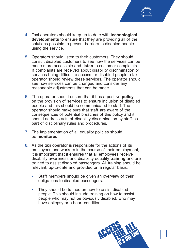- 4. Taxi operators should keep up to date with t**echnological developments** to ensure that they are providing all of the solutions possible to prevent barriers to disabled people using the service.
- 5. Operators should listen to their customers. They should consult disabled customers to see how the services can be made more accessible and **listen** to customer complaints. If complaints are received about disability discrimination or services being difficult to access for disabled people a taxi operator should review these services. The operator should see how services can be changed and consider any reasonable adjustments that can be made.
- 6. The operator should ensure that it has a positive **policy** on the provision of services to ensure inclusion of disabled people and this should be communicated to staff. The operator should make sure that staff are aware of the consequences of potential breaches of this policy and it should address acts of disability discrimination by staff as part of disciplinary rules and procedures.
- 7. The implementation of all equality policies should be **monitored**.
- 8. As the taxi operator is responsible for the actions of its employees and workers in the course of their employment, it is important that it ensures that all employees receive disability awareness and disability equality **training** and are trained to assist disabled passengers. All training should be relevant, up-to-date and provided on a regular basis.
	- Staff members should be given an overview of their obligations to disabled passengers.
	- They should be trained on how to assist disabled people. This should include training on how to assist people who may not be obviously disabled, who may have epilepsy or a heart condition.

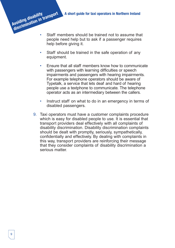- Staff members should be trained not to assume that people need help but to ask if a passenger requires help before giving it. **discrimination in transport** 
	- Staff should be trained in the safe operation of any equipment.
	- Ensure that all staff members know how to communicate with passengers with learning difficulties or speech impairments and passengers with hearing impairments. For example telephone operators should be aware of Typetalk, a service that lets deaf and hard of hearing people use a textphone to communicate. The telephone operator acts as an intermediary between the callers.
	- Instruct staff on what to do in an emergency in terms of disabled passengers.
	- 9. Taxi operators must have a customer complaints procedure which is easy for disabled people to use. It is essential that transport providers deal effectively with all complaints of disability discrimination. Disability discrimination complaints should be dealt with promptly, seriously, sympathetically, confidentially and effectively. By dealing with complaints in this way, transport providers are reinforcing their message that they consider complaints of disability discrimination a serious matter.

**Avoiding disability**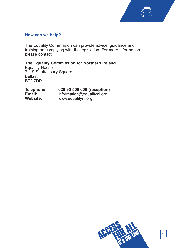

# **How can we help?**

The Equality Commission can provide advice, guidance and training on complying with the legislation. For more information please contact:

# **The Equality Commission for Northern Ireland**

Equality House 7 – 9 Shaftesbury Square Belfast BT2 7DP

| Telephone:      | 028 90 500 600 (reception) |
|-----------------|----------------------------|
| Email:          | information@equalityni.org |
| <b>Website:</b> | www.equalityni.org         |